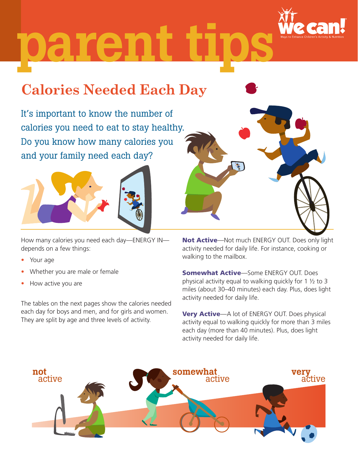

# parent

## **Calories Needed Each Day**

It's important to know the number of calories you need to eat to stay healthy. Do you know how many calories you and your family need each day?



How many calories you need each day—ENERGY IN depends on a few things:

- Your age
- Whether you are male or female
- How active you are

The tables on the next pages show the calories needed each day for boys and men, and for girls and women. They are split by age and three levels of activity.



Not Active-Not much ENERGY OUT. Does only light activity needed for daily life. For instance, cooking or walking to the mailbox.

**Somewhat Active**—Some ENERGY OUT. Does physical activity equal to walking quickly for 1 ½ to 3 miles (about 30–40 minutes) each day. Plus, does light activity needed for daily life.

Very Active—A lot of ENERGY OUT. Does physical activity equal to walking quickly for more than 3 miles each day (more than 40 minutes). Plus, does light activity needed for daily life.